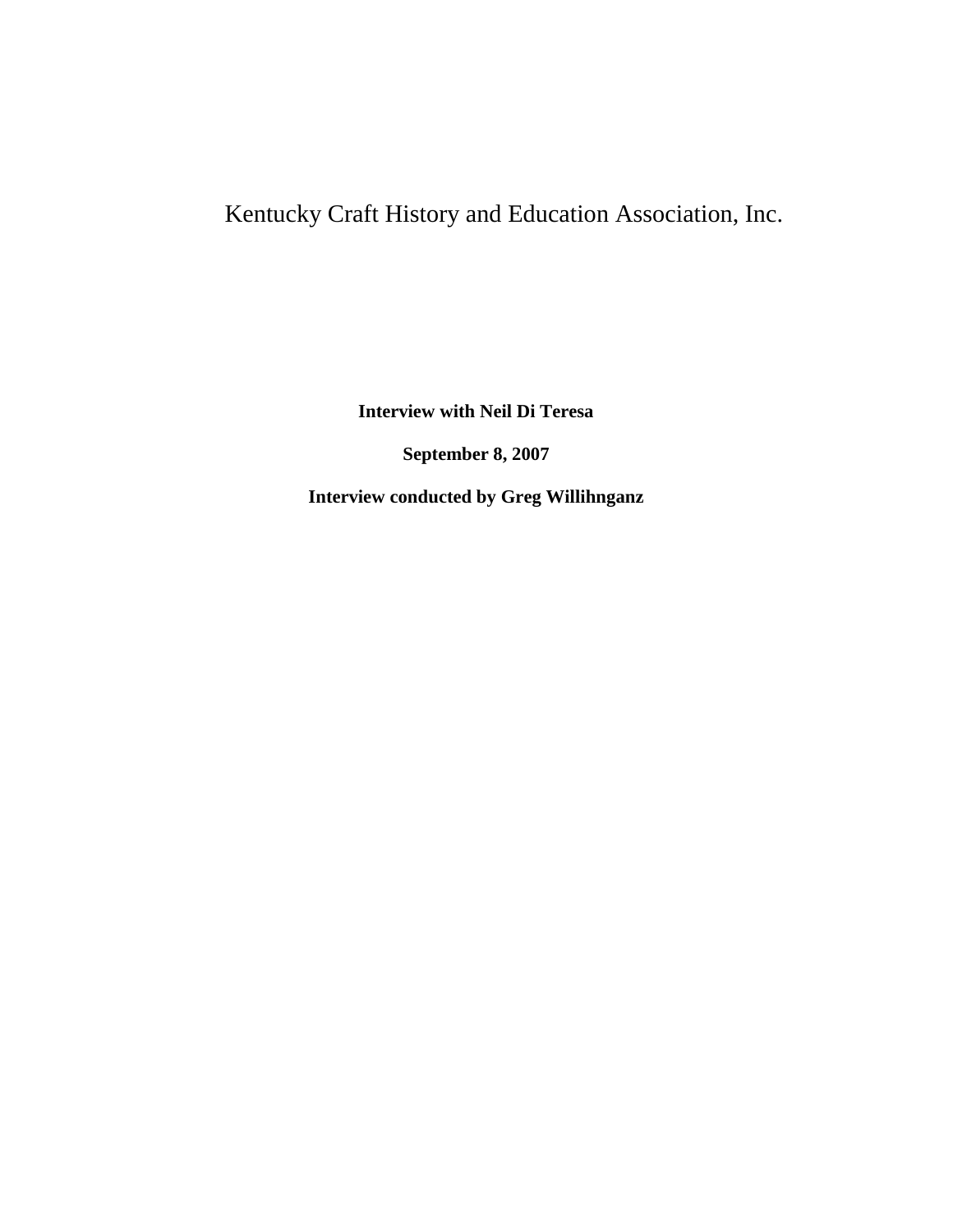## Kentucky Craft History and Education Association, Inc.

**Interview with Neil Di Teresa**

**September 8, 2007**

**Interview conducted by Greg Willihnganz**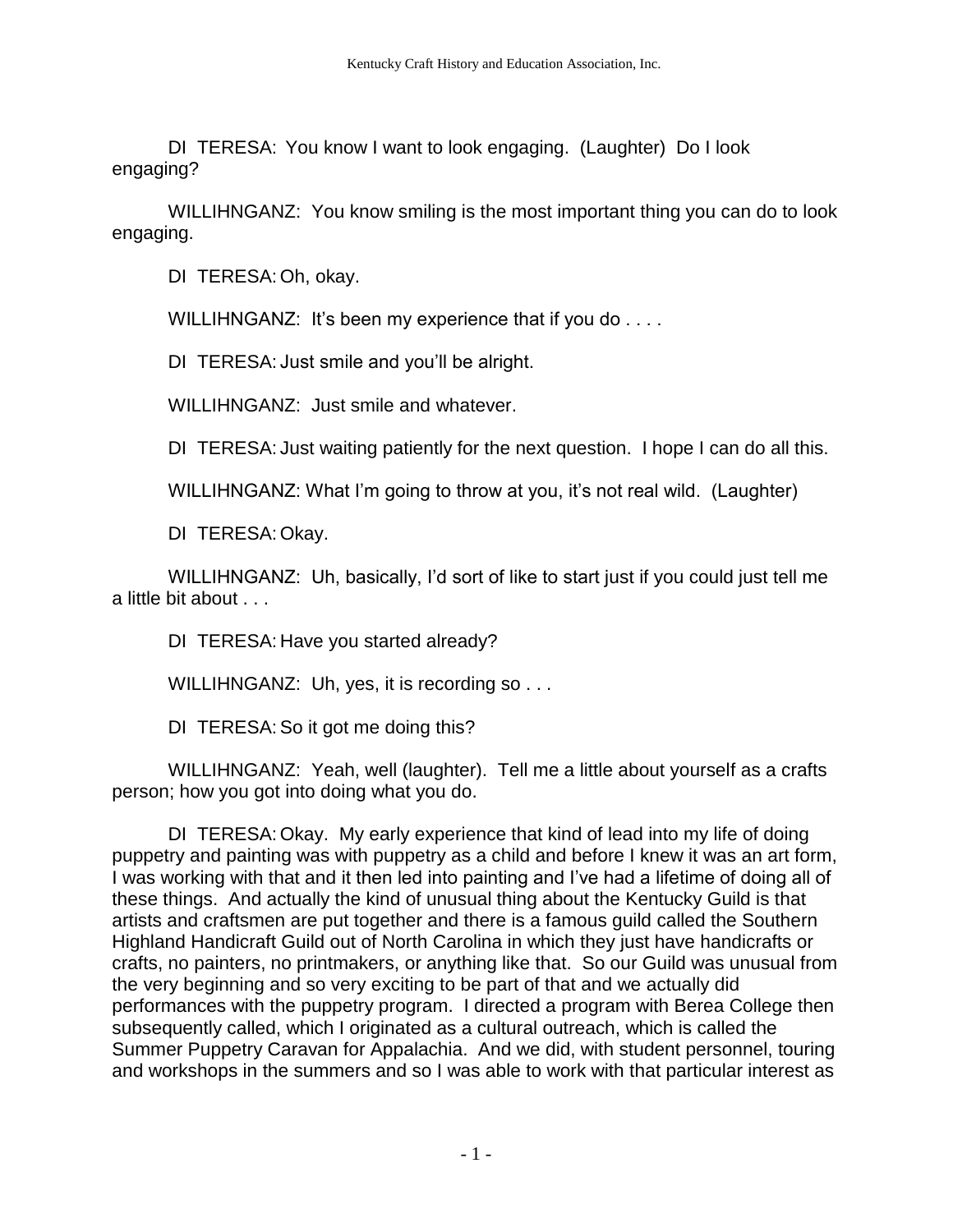DI TERESA: You know I want to look engaging. (Laughter) Do I look engaging?

WILLIHNGANZ: You know smiling is the most important thing you can do to look engaging.

DI TERESA: Oh, okay.

WILLIHNGANZ: It's been my experience that if you do . . . .

DI TERESA: Just smile and you'll be alright.

WILLIHNGANZ: Just smile and whatever.

DI TERESA: Just waiting patiently for the next question. I hope I can do all this.

WILLIHNGANZ: What I'm going to throw at you, it's not real wild. (Laughter)

DI TERESA: Okay.

WILLIHNGANZ: Uh, basically, I'd sort of like to start just if you could just tell me a little bit about . . .

DI TERESA: Have you started already?

WILLIHNGANZ: Uh, yes, it is recording so . . .

DI TERESA: So it got me doing this?

WILLIHNGANZ: Yeah, well (laughter). Tell me a little about yourself as a crafts person; how you got into doing what you do.

DI TERESA: Okay. My early experience that kind of lead into my life of doing puppetry and painting was with puppetry as a child and before I knew it was an art form, I was working with that and it then led into painting and I've had a lifetime of doing all of these things. And actually the kind of unusual thing about the Kentucky Guild is that artists and craftsmen are put together and there is a famous guild called the Southern Highland Handicraft Guild out of North Carolina in which they just have handicrafts or crafts, no painters, no printmakers, or anything like that. So our Guild was unusual from the very beginning and so very exciting to be part of that and we actually did performances with the puppetry program. I directed a program with Berea College then subsequently called, which I originated as a cultural outreach, which is called the Summer Puppetry Caravan for Appalachia. And we did, with student personnel, touring and workshops in the summers and so I was able to work with that particular interest as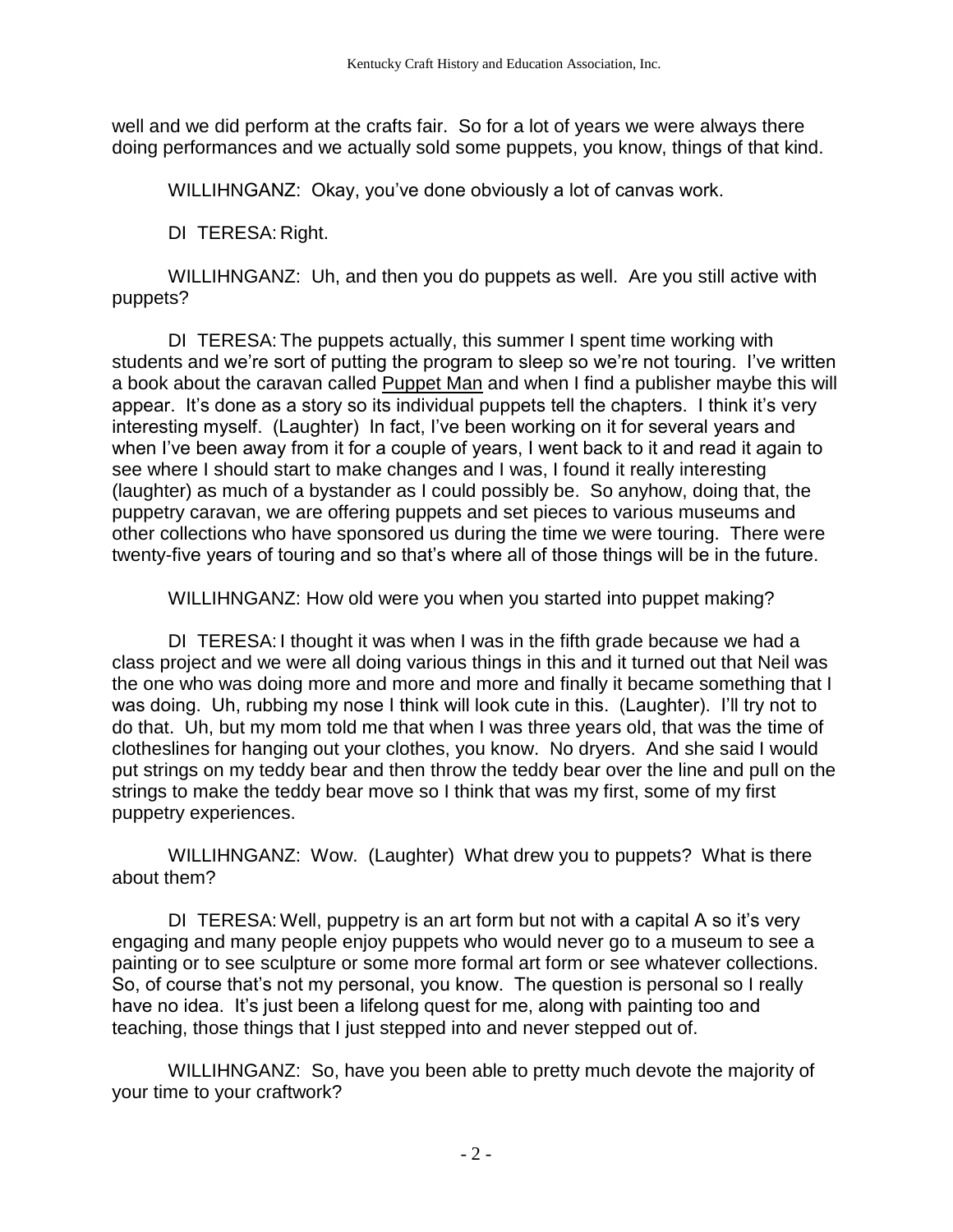well and we did perform at the crafts fair. So for a lot of years we were always there doing performances and we actually sold some puppets, you know, things of that kind.

WILLIHNGANZ: Okay, you've done obviously a lot of canvas work.

DI TERESA: Right.

WILLIHNGANZ: Uh, and then you do puppets as well. Are you still active with puppets?

DI TERESA: The puppets actually, this summer I spent time working with students and we're sort of putting the program to sleep so we're not touring. I've written a book about the caravan called Puppet Man and when I find a publisher maybe this will appear. It's done as a story so its individual puppets tell the chapters. I think it's very interesting myself. (Laughter) In fact, I've been working on it for several years and when I've been away from it for a couple of years, I went back to it and read it again to see where I should start to make changes and I was, I found it really interesting (laughter) as much of a bystander as I could possibly be. So anyhow, doing that, the puppetry caravan, we are offering puppets and set pieces to various museums and other collections who have sponsored us during the time we were touring. There were twenty-five years of touring and so that's where all of those things will be in the future.

WILLIHNGANZ: How old were you when you started into puppet making?

DI TERESA: I thought it was when I was in the fifth grade because we had a class project and we were all doing various things in this and it turned out that Neil was the one who was doing more and more and more and finally it became something that I was doing. Uh, rubbing my nose I think will look cute in this. (Laughter). I'll try not to do that. Uh, but my mom told me that when I was three years old, that was the time of clotheslines for hanging out your clothes, you know. No dryers. And she said I would put strings on my teddy bear and then throw the teddy bear over the line and pull on the strings to make the teddy bear move so I think that was my first, some of my first puppetry experiences.

WILLIHNGANZ: Wow. (Laughter) What drew you to puppets? What is there about them?

DI TERESA: Well, puppetry is an art form but not with a capital A so it's very engaging and many people enjoy puppets who would never go to a museum to see a painting or to see sculpture or some more formal art form or see whatever collections. So, of course that's not my personal, you know. The question is personal so I really have no idea. It's just been a lifelong quest for me, along with painting too and teaching, those things that I just stepped into and never stepped out of.

WILLIHNGANZ: So, have you been able to pretty much devote the majority of your time to your craftwork?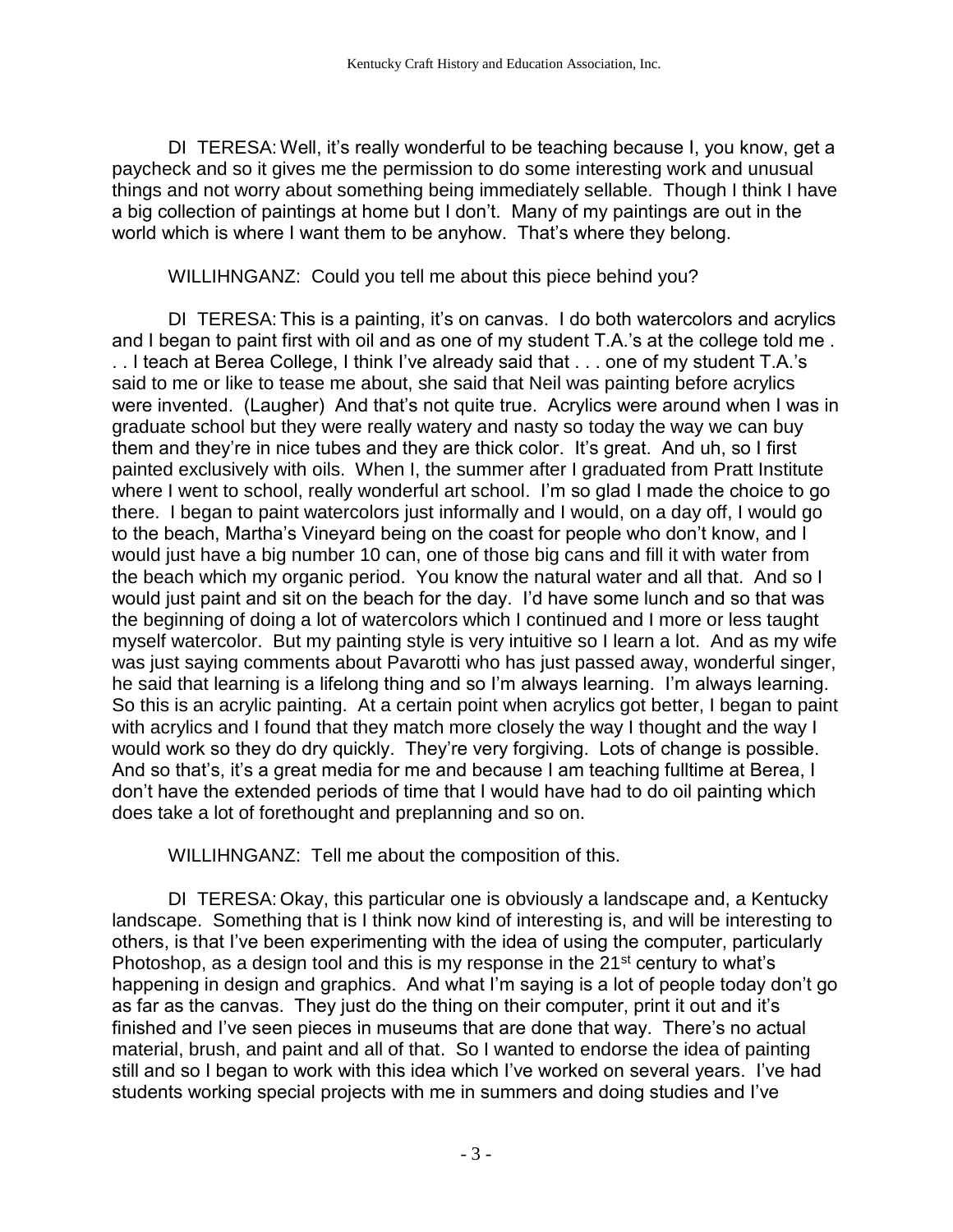DI TERESA: Well, it's really wonderful to be teaching because I, you know, get a paycheck and so it gives me the permission to do some interesting work and unusual things and not worry about something being immediately sellable. Though I think I have a big collection of paintings at home but I don't. Many of my paintings are out in the world which is where I want them to be anyhow. That's where they belong.

WILLIHNGANZ: Could you tell me about this piece behind you?

DI TERESA: This is a painting, it's on canvas. I do both watercolors and acrylics and I began to paint first with oil and as one of my student T.A.'s at the college told me . . . I teach at Berea College, I think I've already said that . . . one of my student T.A.'s said to me or like to tease me about, she said that Neil was painting before acrylics were invented. (Laugher) And that's not quite true. Acrylics were around when I was in graduate school but they were really watery and nasty so today the way we can buy them and they're in nice tubes and they are thick color. It's great. And uh, so I first painted exclusively with oils. When I, the summer after I graduated from Pratt Institute where I went to school, really wonderful art school. I'm so glad I made the choice to go there. I began to paint watercolors just informally and I would, on a day off, I would go to the beach, Martha's Vineyard being on the coast for people who don't know, and I would just have a big number 10 can, one of those big cans and fill it with water from the beach which my organic period. You know the natural water and all that. And so I would just paint and sit on the beach for the day. I'd have some lunch and so that was the beginning of doing a lot of watercolors which I continued and I more or less taught myself watercolor. But my painting style is very intuitive so I learn a lot. And as my wife was just saying comments about Pavarotti who has just passed away, wonderful singer, he said that learning is a lifelong thing and so I'm always learning. I'm always learning. So this is an acrylic painting. At a certain point when acrylics got better, I began to paint with acrylics and I found that they match more closely the way I thought and the way I would work so they do dry quickly. They're very forgiving. Lots of change is possible. And so that's, it's a great media for me and because I am teaching fulltime at Berea, I don't have the extended periods of time that I would have had to do oil painting which does take a lot of forethought and preplanning and so on.

WILLIHNGANZ: Tell me about the composition of this.

DI TERESA: Okay, this particular one is obviously a landscape and, a Kentucky landscape. Something that is I think now kind of interesting is, and will be interesting to others, is that I've been experimenting with the idea of using the computer, particularly Photoshop, as a design tool and this is my response in the  $21<sup>st</sup>$  century to what's happening in design and graphics. And what I'm saying is a lot of people today don't go as far as the canvas. They just do the thing on their computer, print it out and it's finished and I've seen pieces in museums that are done that way. There's no actual material, brush, and paint and all of that. So I wanted to endorse the idea of painting still and so I began to work with this idea which I've worked on several years. I've had students working special projects with me in summers and doing studies and I've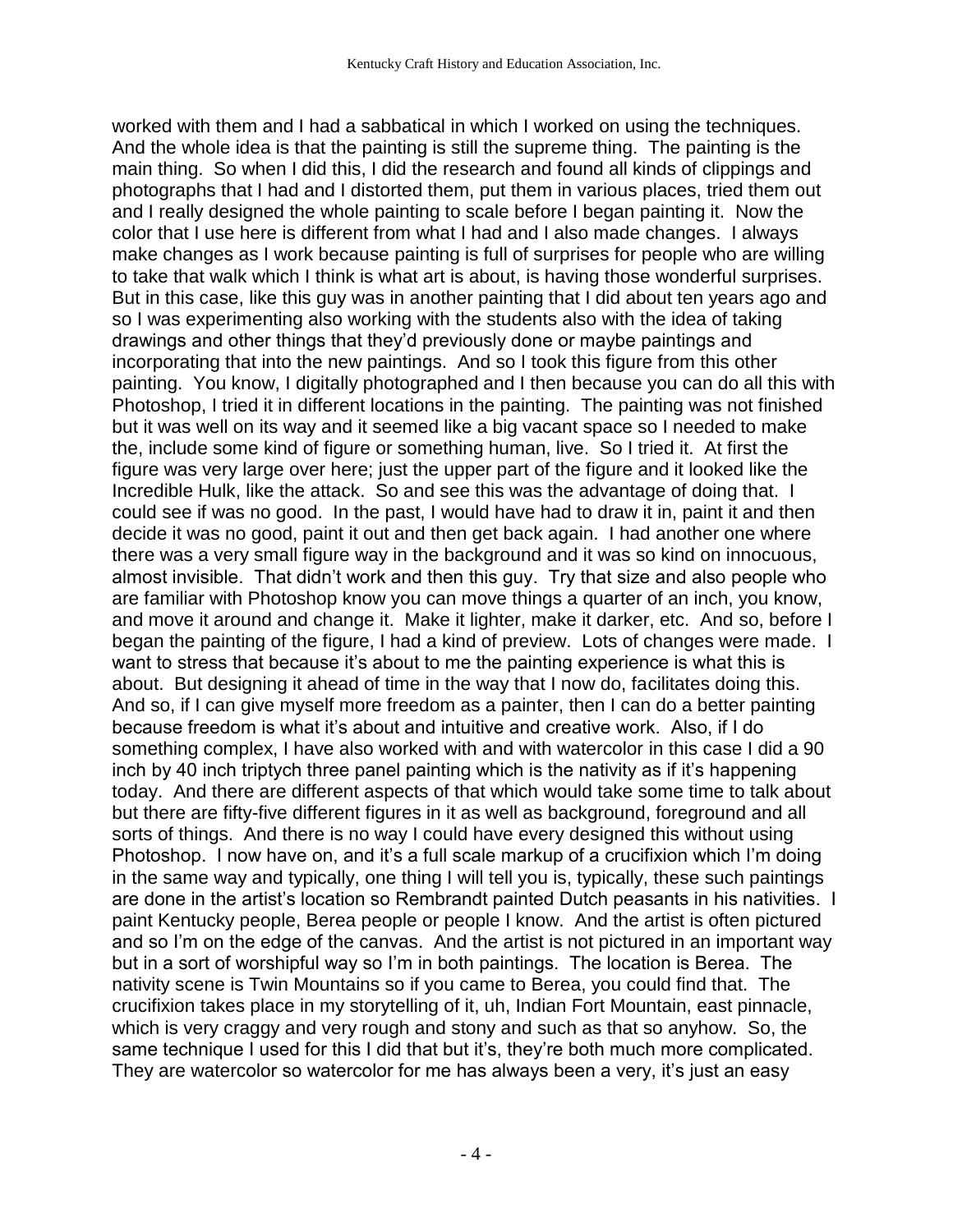worked with them and I had a sabbatical in which I worked on using the techniques. And the whole idea is that the painting is still the supreme thing. The painting is the main thing. So when I did this, I did the research and found all kinds of clippings and photographs that I had and I distorted them, put them in various places, tried them out and I really designed the whole painting to scale before I began painting it. Now the color that I use here is different from what I had and I also made changes. I always make changes as I work because painting is full of surprises for people who are willing to take that walk which I think is what art is about, is having those wonderful surprises. But in this case, like this guy was in another painting that I did about ten years ago and so I was experimenting also working with the students also with the idea of taking drawings and other things that they'd previously done or maybe paintings and incorporating that into the new paintings. And so I took this figure from this other painting. You know, I digitally photographed and I then because you can do all this with Photoshop, I tried it in different locations in the painting. The painting was not finished but it was well on its way and it seemed like a big vacant space so I needed to make the, include some kind of figure or something human, live. So I tried it. At first the figure was very large over here; just the upper part of the figure and it looked like the Incredible Hulk, like the attack. So and see this was the advantage of doing that. I could see if was no good. In the past, I would have had to draw it in, paint it and then decide it was no good, paint it out and then get back again. I had another one where there was a very small figure way in the background and it was so kind on innocuous, almost invisible. That didn't work and then this guy. Try that size and also people who are familiar with Photoshop know you can move things a quarter of an inch, you know, and move it around and change it. Make it lighter, make it darker, etc. And so, before I began the painting of the figure, I had a kind of preview. Lots of changes were made. I want to stress that because it's about to me the painting experience is what this is about. But designing it ahead of time in the way that I now do, facilitates doing this. And so, if I can give myself more freedom as a painter, then I can do a better painting because freedom is what it's about and intuitive and creative work. Also, if I do something complex, I have also worked with and with watercolor in this case I did a 90 inch by 40 inch triptych three panel painting which is the nativity as if it's happening today. And there are different aspects of that which would take some time to talk about but there are fifty-five different figures in it as well as background, foreground and all sorts of things. And there is no way I could have every designed this without using Photoshop. I now have on, and it's a full scale markup of a crucifixion which I'm doing in the same way and typically, one thing I will tell you is, typically, these such paintings are done in the artist's location so Rembrandt painted Dutch peasants in his nativities. I paint Kentucky people, Berea people or people I know. And the artist is often pictured and so I'm on the edge of the canvas. And the artist is not pictured in an important way but in a sort of worshipful way so I'm in both paintings. The location is Berea. The nativity scene is Twin Mountains so if you came to Berea, you could find that. The crucifixion takes place in my storytelling of it, uh, Indian Fort Mountain, east pinnacle, which is very craggy and very rough and stony and such as that so anyhow. So, the same technique I used for this I did that but it's, they're both much more complicated. They are watercolor so watercolor for me has always been a very, it's just an easy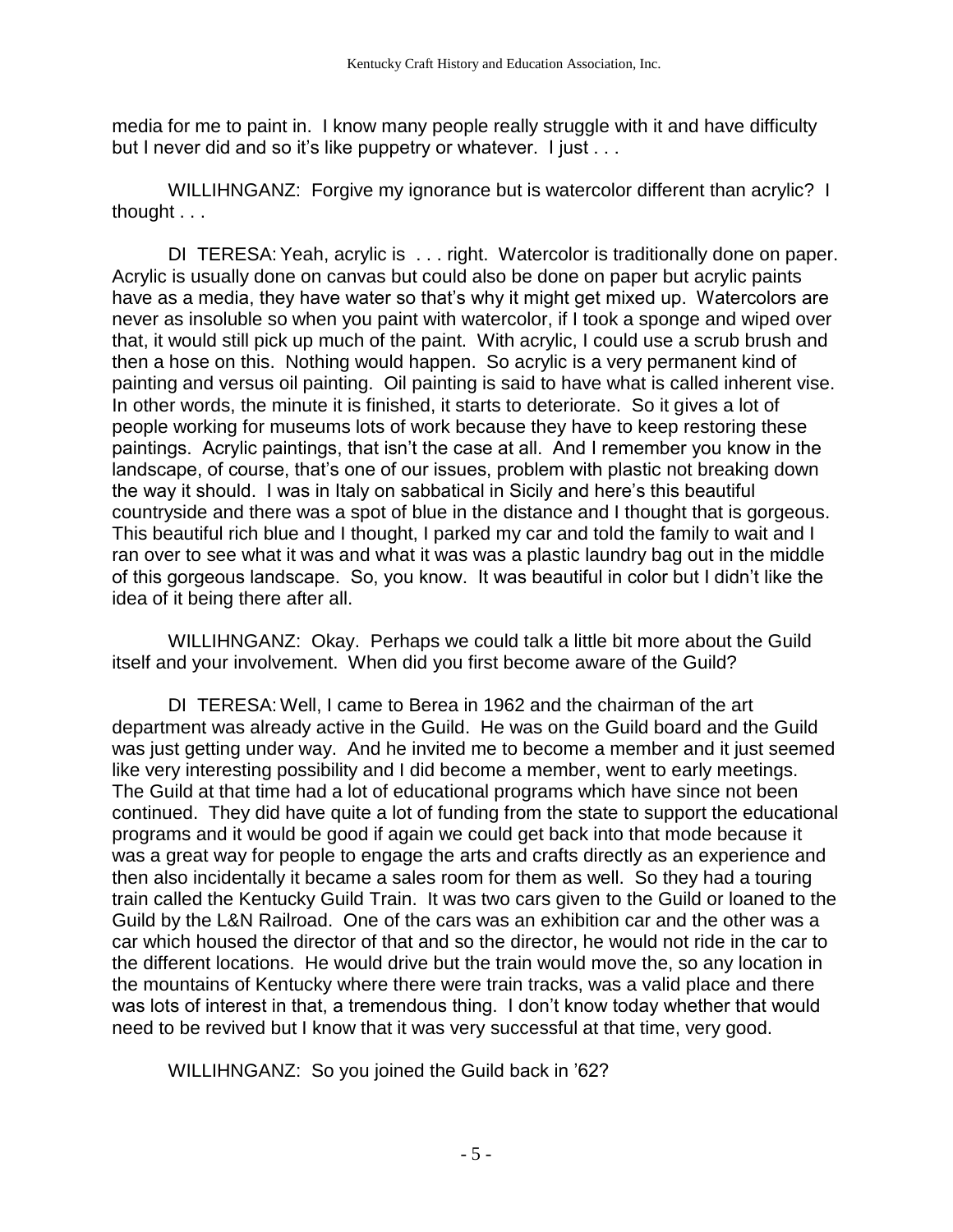media for me to paint in. I know many people really struggle with it and have difficulty but I never did and so it's like puppetry or whatever. I just . . .

WILLIHNGANZ: Forgive my ignorance but is watercolor different than acrylic? I thought . . .

DI TERESA: Yeah, acrylic is ... right. Watercolor is traditionally done on paper. Acrylic is usually done on canvas but could also be done on paper but acrylic paints have as a media, they have water so that's why it might get mixed up. Watercolors are never as insoluble so when you paint with watercolor, if I took a sponge and wiped over that, it would still pick up much of the paint. With acrylic, I could use a scrub brush and then a hose on this. Nothing would happen. So acrylic is a very permanent kind of painting and versus oil painting. Oil painting is said to have what is called inherent vise. In other words, the minute it is finished, it starts to deteriorate. So it gives a lot of people working for museums lots of work because they have to keep restoring these paintings. Acrylic paintings, that isn't the case at all. And I remember you know in the landscape, of course, that's one of our issues, problem with plastic not breaking down the way it should. I was in Italy on sabbatical in Sicily and here's this beautiful countryside and there was a spot of blue in the distance and I thought that is gorgeous. This beautiful rich blue and I thought, I parked my car and told the family to wait and I ran over to see what it was and what it was was a plastic laundry bag out in the middle of this gorgeous landscape. So, you know. It was beautiful in color but I didn't like the idea of it being there after all.

WILLIHNGANZ: Okay. Perhaps we could talk a little bit more about the Guild itself and your involvement. When did you first become aware of the Guild?

DI TERESA: Well, I came to Berea in 1962 and the chairman of the art department was already active in the Guild. He was on the Guild board and the Guild was just getting under way. And he invited me to become a member and it just seemed like very interesting possibility and I did become a member, went to early meetings. The Guild at that time had a lot of educational programs which have since not been continued. They did have quite a lot of funding from the state to support the educational programs and it would be good if again we could get back into that mode because it was a great way for people to engage the arts and crafts directly as an experience and then also incidentally it became a sales room for them as well. So they had a touring train called the Kentucky Guild Train. It was two cars given to the Guild or loaned to the Guild by the L&N Railroad. One of the cars was an exhibition car and the other was a car which housed the director of that and so the director, he would not ride in the car to the different locations. He would drive but the train would move the, so any location in the mountains of Kentucky where there were train tracks, was a valid place and there was lots of interest in that, a tremendous thing. I don't know today whether that would need to be revived but I know that it was very successful at that time, very good.

WILLIHNGANZ: So you joined the Guild back in '62?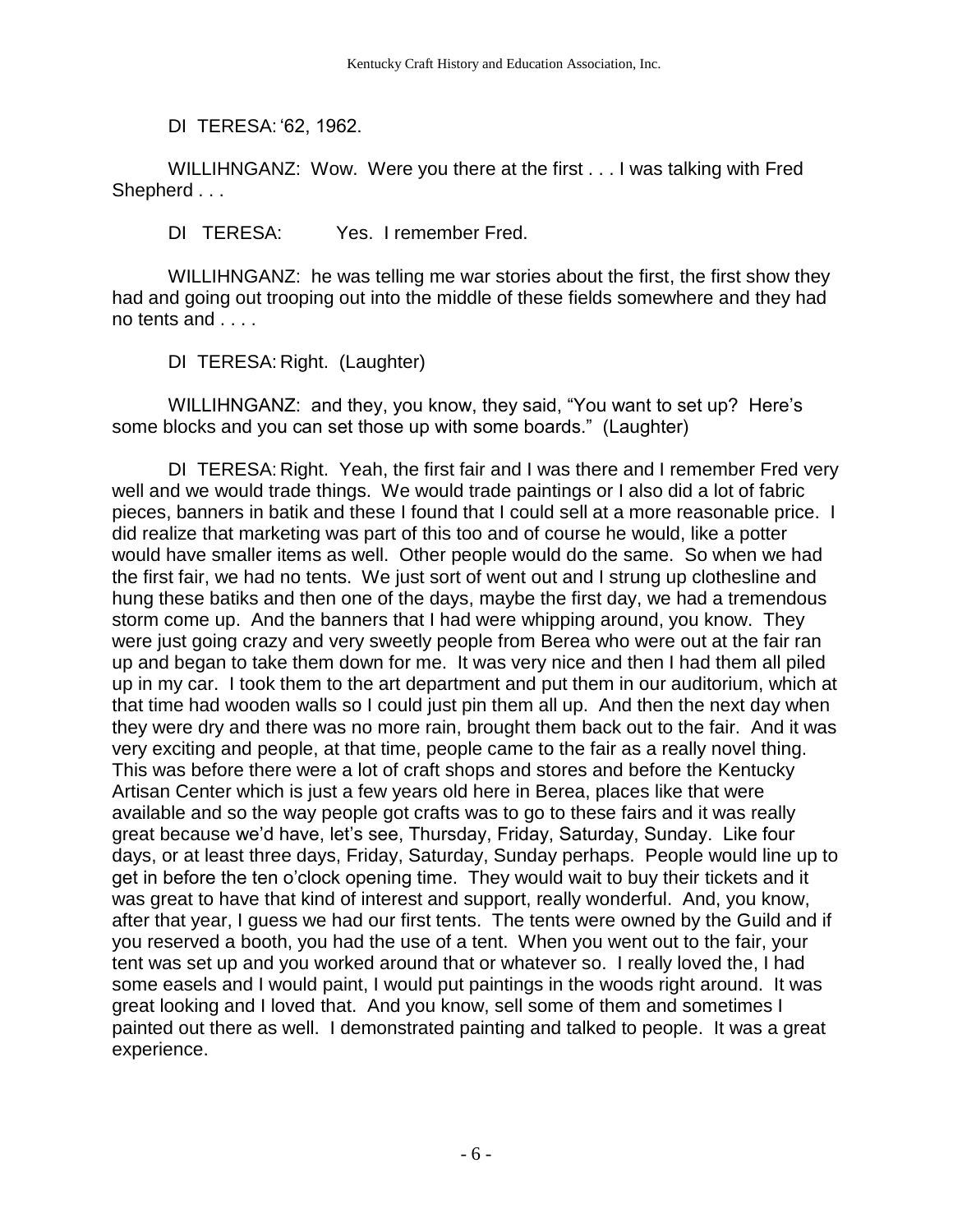DI TERESA: '62, 1962.

WILLIHNGANZ: Wow. Were you there at the first . . . I was talking with Fred Shepherd . . .

DI TERESA: Yes. I remember Fred.

WILLIHNGANZ: he was telling me war stories about the first, the first show they had and going out trooping out into the middle of these fields somewhere and they had no tents and . . . .

DI TERESA: Right. (Laughter)

WILLIHNGANZ: and they, you know, they said, "You want to set up? Here's some blocks and you can set those up with some boards." (Laughter)

DI TERESA: Right. Yeah, the first fair and I was there and I remember Fred very well and we would trade things. We would trade paintings or I also did a lot of fabric pieces, banners in batik and these I found that I could sell at a more reasonable price. I did realize that marketing was part of this too and of course he would, like a potter would have smaller items as well. Other people would do the same. So when we had the first fair, we had no tents. We just sort of went out and I strung up clothesline and hung these batiks and then one of the days, maybe the first day, we had a tremendous storm come up. And the banners that I had were whipping around, you know. They were just going crazy and very sweetly people from Berea who were out at the fair ran up and began to take them down for me. It was very nice and then I had them all piled up in my car. I took them to the art department and put them in our auditorium, which at that time had wooden walls so I could just pin them all up. And then the next day when they were dry and there was no more rain, brought them back out to the fair. And it was very exciting and people, at that time, people came to the fair as a really novel thing. This was before there were a lot of craft shops and stores and before the Kentucky Artisan Center which is just a few years old here in Berea, places like that were available and so the way people got crafts was to go to these fairs and it was really great because we'd have, let's see, Thursday, Friday, Saturday, Sunday. Like four days, or at least three days, Friday, Saturday, Sunday perhaps. People would line up to get in before the ten o'clock opening time. They would wait to buy their tickets and it was great to have that kind of interest and support, really wonderful. And, you know, after that year, I guess we had our first tents. The tents were owned by the Guild and if you reserved a booth, you had the use of a tent. When you went out to the fair, your tent was set up and you worked around that or whatever so. I really loved the, I had some easels and I would paint, I would put paintings in the woods right around. It was great looking and I loved that. And you know, sell some of them and sometimes I painted out there as well. I demonstrated painting and talked to people. It was a great experience.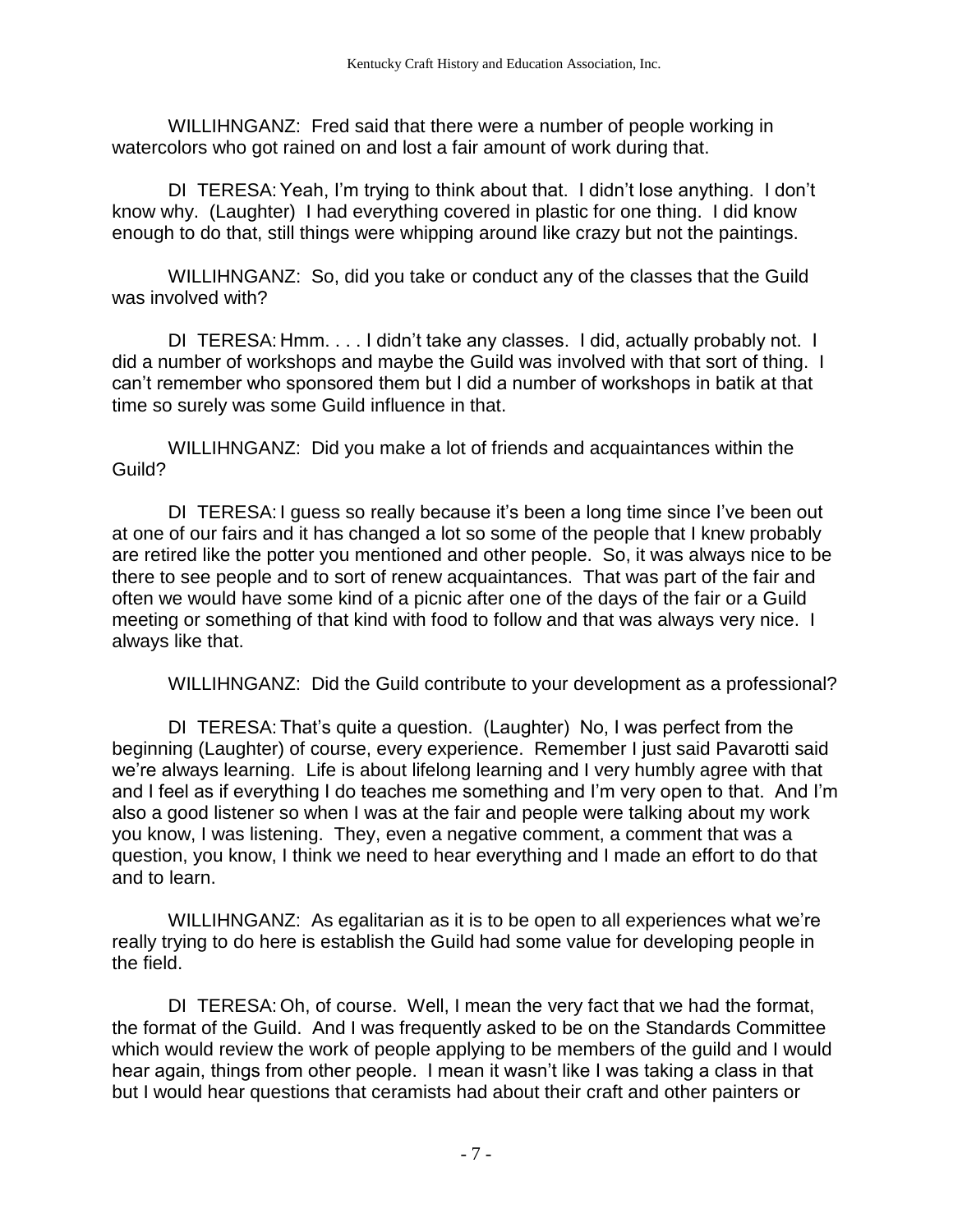WILLIHNGANZ: Fred said that there were a number of people working in watercolors who got rained on and lost a fair amount of work during that.

DI TERESA:Yeah, I'm trying to think about that. I didn't lose anything. I don't know why. (Laughter) I had everything covered in plastic for one thing. I did know enough to do that, still things were whipping around like crazy but not the paintings.

WILLIHNGANZ: So, did you take or conduct any of the classes that the Guild was involved with?

DI TERESA: Hmm. . . . I didn't take any classes. I did, actually probably not. I did a number of workshops and maybe the Guild was involved with that sort of thing. I can't remember who sponsored them but I did a number of workshops in batik at that time so surely was some Guild influence in that.

WILLIHNGANZ: Did you make a lot of friends and acquaintances within the Guild?

DI TERESA: I guess so really because it's been a long time since I've been out at one of our fairs and it has changed a lot so some of the people that I knew probably are retired like the potter you mentioned and other people. So, it was always nice to be there to see people and to sort of renew acquaintances. That was part of the fair and often we would have some kind of a picnic after one of the days of the fair or a Guild meeting or something of that kind with food to follow and that was always very nice. I always like that.

WILLIHNGANZ: Did the Guild contribute to your development as a professional?

DI TERESA: That's quite a question. (Laughter) No, I was perfect from the beginning (Laughter) of course, every experience. Remember I just said Pavarotti said we're always learning. Life is about lifelong learning and I very humbly agree with that and I feel as if everything I do teaches me something and I'm very open to that. And I'm also a good listener so when I was at the fair and people were talking about my work you know, I was listening. They, even a negative comment, a comment that was a question, you know, I think we need to hear everything and I made an effort to do that and to learn.

WILLIHNGANZ: As egalitarian as it is to be open to all experiences what we're really trying to do here is establish the Guild had some value for developing people in the field.

DI TERESA: Oh, of course. Well, I mean the very fact that we had the format, the format of the Guild. And I was frequently asked to be on the Standards Committee which would review the work of people applying to be members of the guild and I would hear again, things from other people. I mean it wasn't like I was taking a class in that but I would hear questions that ceramists had about their craft and other painters or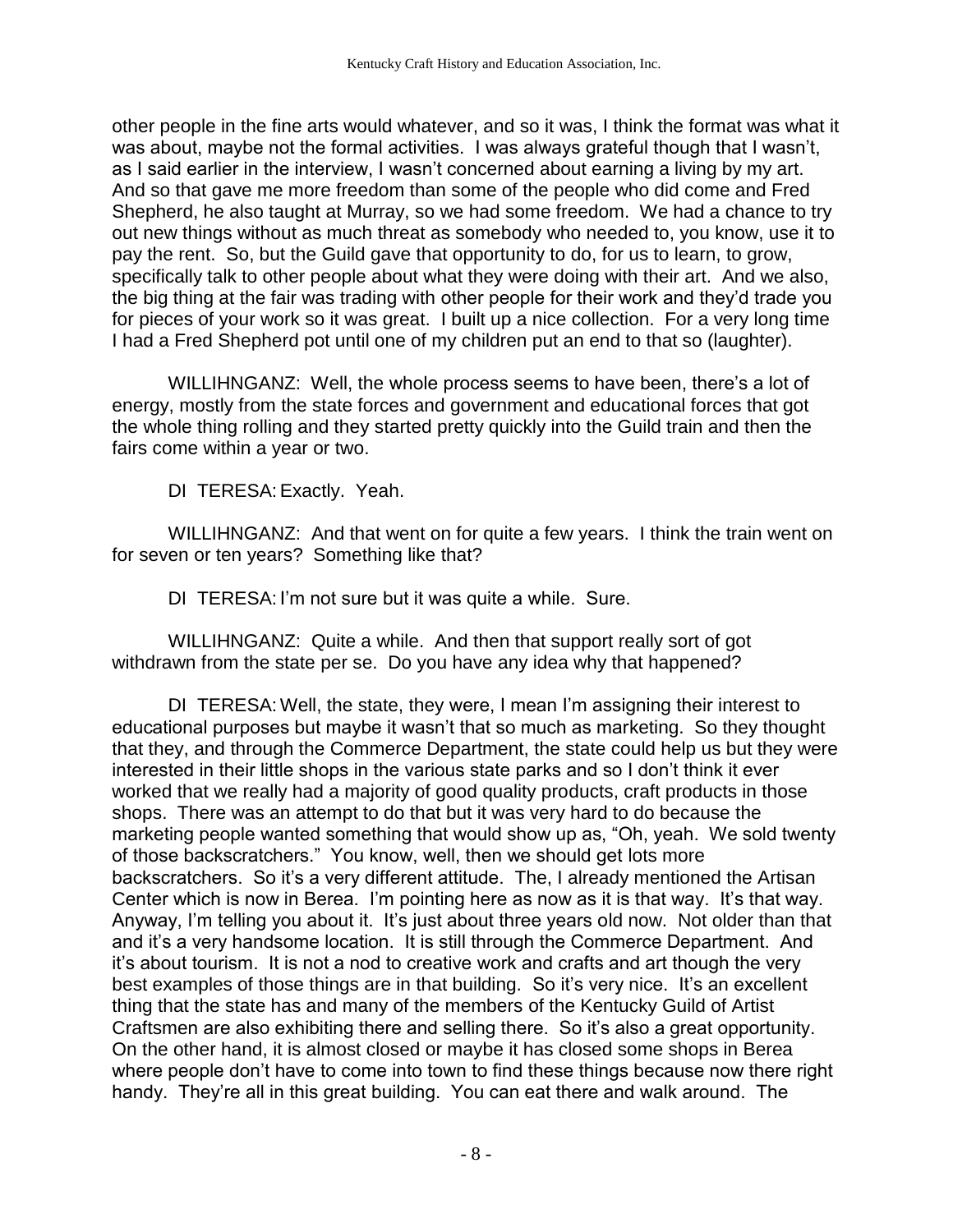other people in the fine arts would whatever, and so it was, I think the format was what it was about, maybe not the formal activities. I was always grateful though that I wasn't, as I said earlier in the interview, I wasn't concerned about earning a living by my art. And so that gave me more freedom than some of the people who did come and Fred Shepherd, he also taught at Murray, so we had some freedom. We had a chance to try out new things without as much threat as somebody who needed to, you know, use it to pay the rent. So, but the Guild gave that opportunity to do, for us to learn, to grow, specifically talk to other people about what they were doing with their art. And we also, the big thing at the fair was trading with other people for their work and they'd trade you for pieces of your work so it was great. I built up a nice collection. For a very long time I had a Fred Shepherd pot until one of my children put an end to that so (laughter).

WILLIHNGANZ: Well, the whole process seems to have been, there's a lot of energy, mostly from the state forces and government and educational forces that got the whole thing rolling and they started pretty quickly into the Guild train and then the fairs come within a year or two.

DI TERESA:Exactly. Yeah.

WILLIHNGANZ: And that went on for quite a few years. I think the train went on for seven or ten years? Something like that?

DI TERESA: I'm not sure but it was quite a while. Sure.

WILLIHNGANZ: Quite a while. And then that support really sort of got withdrawn from the state per se. Do you have any idea why that happened?

DI TERESA: Well, the state, they were, I mean I'm assigning their interest to educational purposes but maybe it wasn't that so much as marketing. So they thought that they, and through the Commerce Department, the state could help us but they were interested in their little shops in the various state parks and so I don't think it ever worked that we really had a majority of good quality products, craft products in those shops. There was an attempt to do that but it was very hard to do because the marketing people wanted something that would show up as, "Oh, yeah. We sold twenty of those backscratchers." You know, well, then we should get lots more backscratchers. So it's a very different attitude. The, I already mentioned the Artisan Center which is now in Berea. I'm pointing here as now as it is that way. It's that way. Anyway, I'm telling you about it. It's just about three years old now. Not older than that and it's a very handsome location. It is still through the Commerce Department. And it's about tourism. It is not a nod to creative work and crafts and art though the very best examples of those things are in that building. So it's very nice. It's an excellent thing that the state has and many of the members of the Kentucky Guild of Artist Craftsmen are also exhibiting there and selling there. So it's also a great opportunity. On the other hand, it is almost closed or maybe it has closed some shops in Berea where people don't have to come into town to find these things because now there right handy. They're all in this great building. You can eat there and walk around. The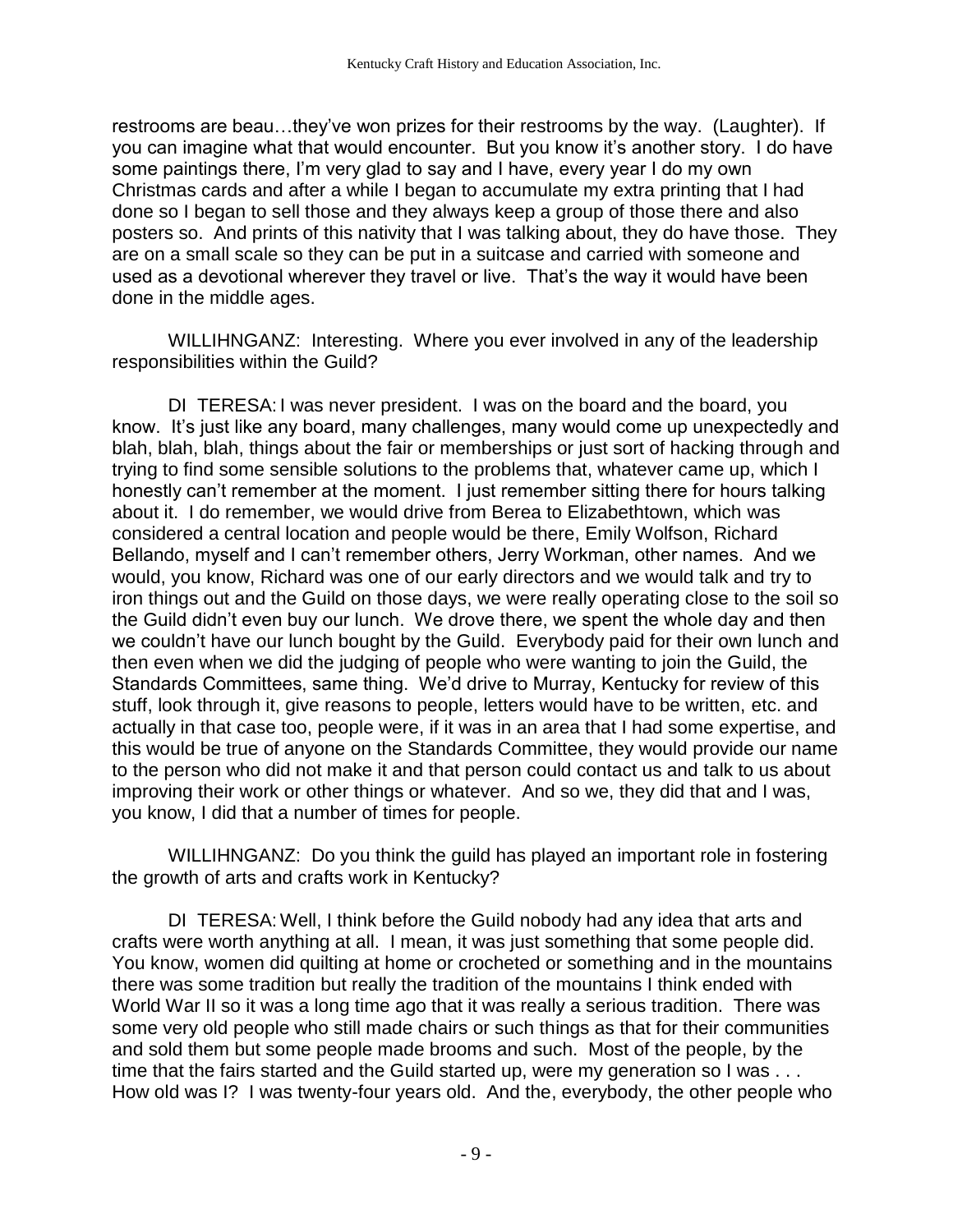restrooms are beau…they've won prizes for their restrooms by the way. (Laughter). If you can imagine what that would encounter. But you know it's another story. I do have some paintings there, I'm very glad to say and I have, every year I do my own Christmas cards and after a while I began to accumulate my extra printing that I had done so I began to sell those and they always keep a group of those there and also posters so. And prints of this nativity that I was talking about, they do have those. They are on a small scale so they can be put in a suitcase and carried with someone and used as a devotional wherever they travel or live. That's the way it would have been done in the middle ages.

WILLIHNGANZ: Interesting. Where you ever involved in any of the leadership responsibilities within the Guild?

DI TERESA: I was never president. I was on the board and the board, you know. It's just like any board, many challenges, many would come up unexpectedly and blah, blah, blah, things about the fair or memberships or just sort of hacking through and trying to find some sensible solutions to the problems that, whatever came up, which I honestly can't remember at the moment. I just remember sitting there for hours talking about it. I do remember, we would drive from Berea to Elizabethtown, which was considered a central location and people would be there, Emily Wolfson, Richard Bellando, myself and I can't remember others, Jerry Workman, other names. And we would, you know, Richard was one of our early directors and we would talk and try to iron things out and the Guild on those days, we were really operating close to the soil so the Guild didn't even buy our lunch. We drove there, we spent the whole day and then we couldn't have our lunch bought by the Guild. Everybody paid for their own lunch and then even when we did the judging of people who were wanting to join the Guild, the Standards Committees, same thing. We'd drive to Murray, Kentucky for review of this stuff, look through it, give reasons to people, letters would have to be written, etc. and actually in that case too, people were, if it was in an area that I had some expertise, and this would be true of anyone on the Standards Committee, they would provide our name to the person who did not make it and that person could contact us and talk to us about improving their work or other things or whatever. And so we, they did that and I was, you know, I did that a number of times for people.

WILLIHNGANZ: Do you think the guild has played an important role in fostering the growth of arts and crafts work in Kentucky?

DI TERESA: Well, I think before the Guild nobody had any idea that arts and crafts were worth anything at all. I mean, it was just something that some people did. You know, women did quilting at home or crocheted or something and in the mountains there was some tradition but really the tradition of the mountains I think ended with World War II so it was a long time ago that it was really a serious tradition. There was some very old people who still made chairs or such things as that for their communities and sold them but some people made brooms and such. Most of the people, by the time that the fairs started and the Guild started up, were my generation so I was . . . How old was I? I was twenty-four years old. And the, everybody, the other people who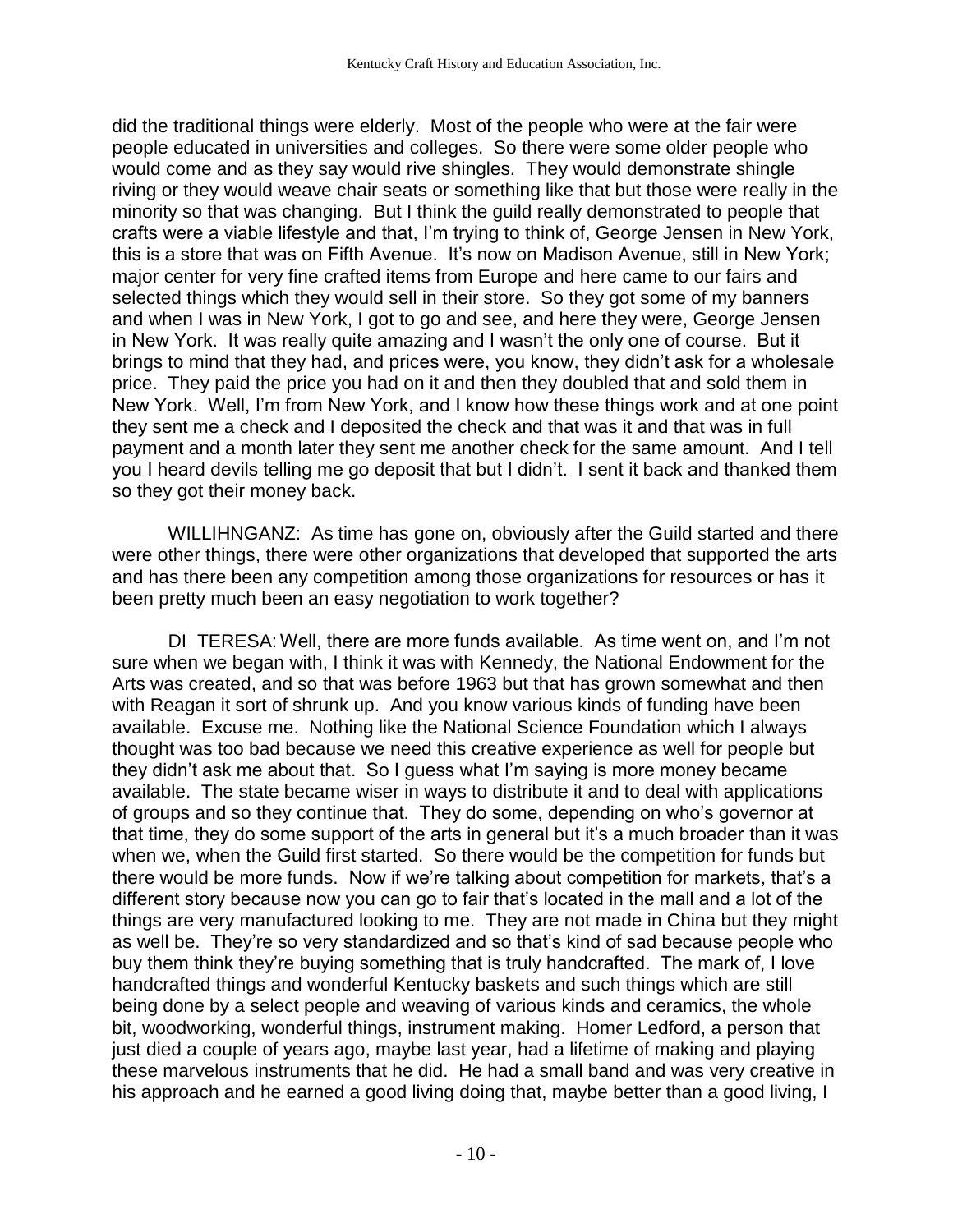did the traditional things were elderly. Most of the people who were at the fair were people educated in universities and colleges. So there were some older people who would come and as they say would rive shingles. They would demonstrate shingle riving or they would weave chair seats or something like that but those were really in the minority so that was changing. But I think the guild really demonstrated to people that crafts were a viable lifestyle and that, I'm trying to think of, George Jensen in New York, this is a store that was on Fifth Avenue. It's now on Madison Avenue, still in New York; major center for very fine crafted items from Europe and here came to our fairs and selected things which they would sell in their store. So they got some of my banners and when I was in New York, I got to go and see, and here they were, George Jensen in New York. It was really quite amazing and I wasn't the only one of course. But it brings to mind that they had, and prices were, you know, they didn't ask for a wholesale price. They paid the price you had on it and then they doubled that and sold them in New York. Well, I'm from New York, and I know how these things work and at one point they sent me a check and I deposited the check and that was it and that was in full payment and a month later they sent me another check for the same amount. And I tell you I heard devils telling me go deposit that but I didn't. I sent it back and thanked them so they got their money back.

WILLIHNGANZ: As time has gone on, obviously after the Guild started and there were other things, there were other organizations that developed that supported the arts and has there been any competition among those organizations for resources or has it been pretty much been an easy negotiation to work together?

DI TERESA: Well, there are more funds available. As time went on, and I'm not sure when we began with, I think it was with Kennedy, the National Endowment for the Arts was created, and so that was before 1963 but that has grown somewhat and then with Reagan it sort of shrunk up. And you know various kinds of funding have been available. Excuse me. Nothing like the National Science Foundation which I always thought was too bad because we need this creative experience as well for people but they didn't ask me about that. So I guess what I'm saying is more money became available. The state became wiser in ways to distribute it and to deal with applications of groups and so they continue that. They do some, depending on who's governor at that time, they do some support of the arts in general but it's a much broader than it was when we, when the Guild first started. So there would be the competition for funds but there would be more funds. Now if we're talking about competition for markets, that's a different story because now you can go to fair that's located in the mall and a lot of the things are very manufactured looking to me. They are not made in China but they might as well be. They're so very standardized and so that's kind of sad because people who buy them think they're buying something that is truly handcrafted. The mark of, I love handcrafted things and wonderful Kentucky baskets and such things which are still being done by a select people and weaving of various kinds and ceramics, the whole bit, woodworking, wonderful things, instrument making. Homer Ledford, a person that just died a couple of years ago, maybe last year, had a lifetime of making and playing these marvelous instruments that he did. He had a small band and was very creative in his approach and he earned a good living doing that, maybe better than a good living, I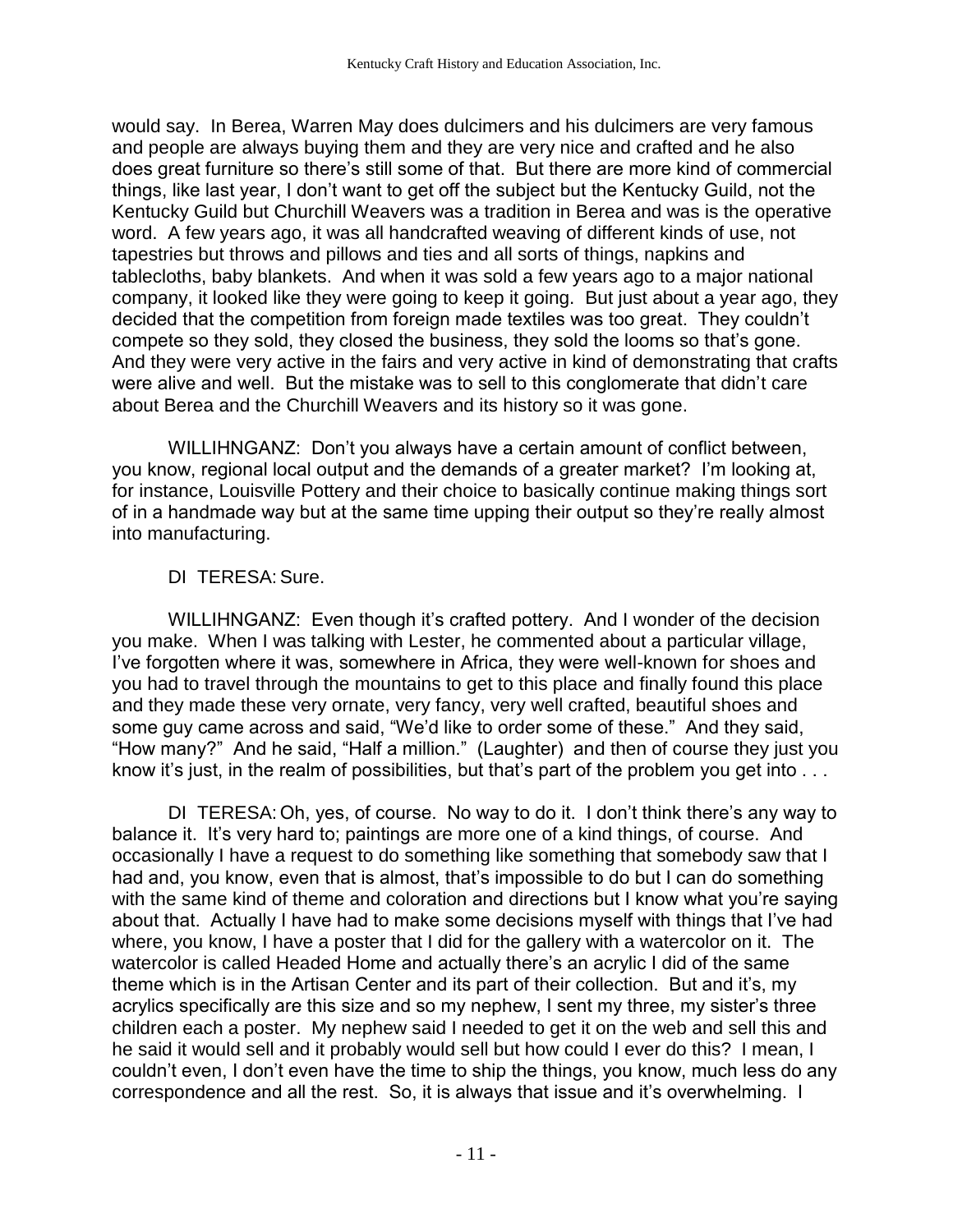would say. In Berea, Warren May does dulcimers and his dulcimers are very famous and people are always buying them and they are very nice and crafted and he also does great furniture so there's still some of that. But there are more kind of commercial things, like last year, I don't want to get off the subject but the Kentucky Guild, not the Kentucky Guild but Churchill Weavers was a tradition in Berea and was is the operative word. A few years ago, it was all handcrafted weaving of different kinds of use, not tapestries but throws and pillows and ties and all sorts of things, napkins and tablecloths, baby blankets. And when it was sold a few years ago to a major national company, it looked like they were going to keep it going. But just about a year ago, they decided that the competition from foreign made textiles was too great. They couldn't compete so they sold, they closed the business, they sold the looms so that's gone. And they were very active in the fairs and very active in kind of demonstrating that crafts were alive and well. But the mistake was to sell to this conglomerate that didn't care about Berea and the Churchill Weavers and its history so it was gone.

WILLIHNGANZ: Don't you always have a certain amount of conflict between, you know, regional local output and the demands of a greater market? I'm looking at, for instance, Louisville Pottery and their choice to basically continue making things sort of in a handmade way but at the same time upping their output so they're really almost into manufacturing.

## DI TERESA:Sure.

WILLIHNGANZ: Even though it's crafted pottery. And I wonder of the decision you make. When I was talking with Lester, he commented about a particular village, I've forgotten where it was, somewhere in Africa, they were well-known for shoes and you had to travel through the mountains to get to this place and finally found this place and they made these very ornate, very fancy, very well crafted, beautiful shoes and some guy came across and said, "We'd like to order some of these." And they said, "How many?" And he said, "Half a million." (Laughter) and then of course they just you know it's just, in the realm of possibilities, but that's part of the problem you get into . . .

DI TERESA: Oh, yes, of course. No way to do it. I don't think there's any way to balance it. It's very hard to; paintings are more one of a kind things, of course. And occasionally I have a request to do something like something that somebody saw that I had and, you know, even that is almost, that's impossible to do but I can do something with the same kind of theme and coloration and directions but I know what you're saying about that. Actually I have had to make some decisions myself with things that I've had where, you know, I have a poster that I did for the gallery with a watercolor on it. The watercolor is called Headed Home and actually there's an acrylic I did of the same theme which is in the Artisan Center and its part of their collection. But and it's, my acrylics specifically are this size and so my nephew, I sent my three, my sister's three children each a poster. My nephew said I needed to get it on the web and sell this and he said it would sell and it probably would sell but how could I ever do this? I mean, I couldn't even, I don't even have the time to ship the things, you know, much less do any correspondence and all the rest. So, it is always that issue and it's overwhelming. I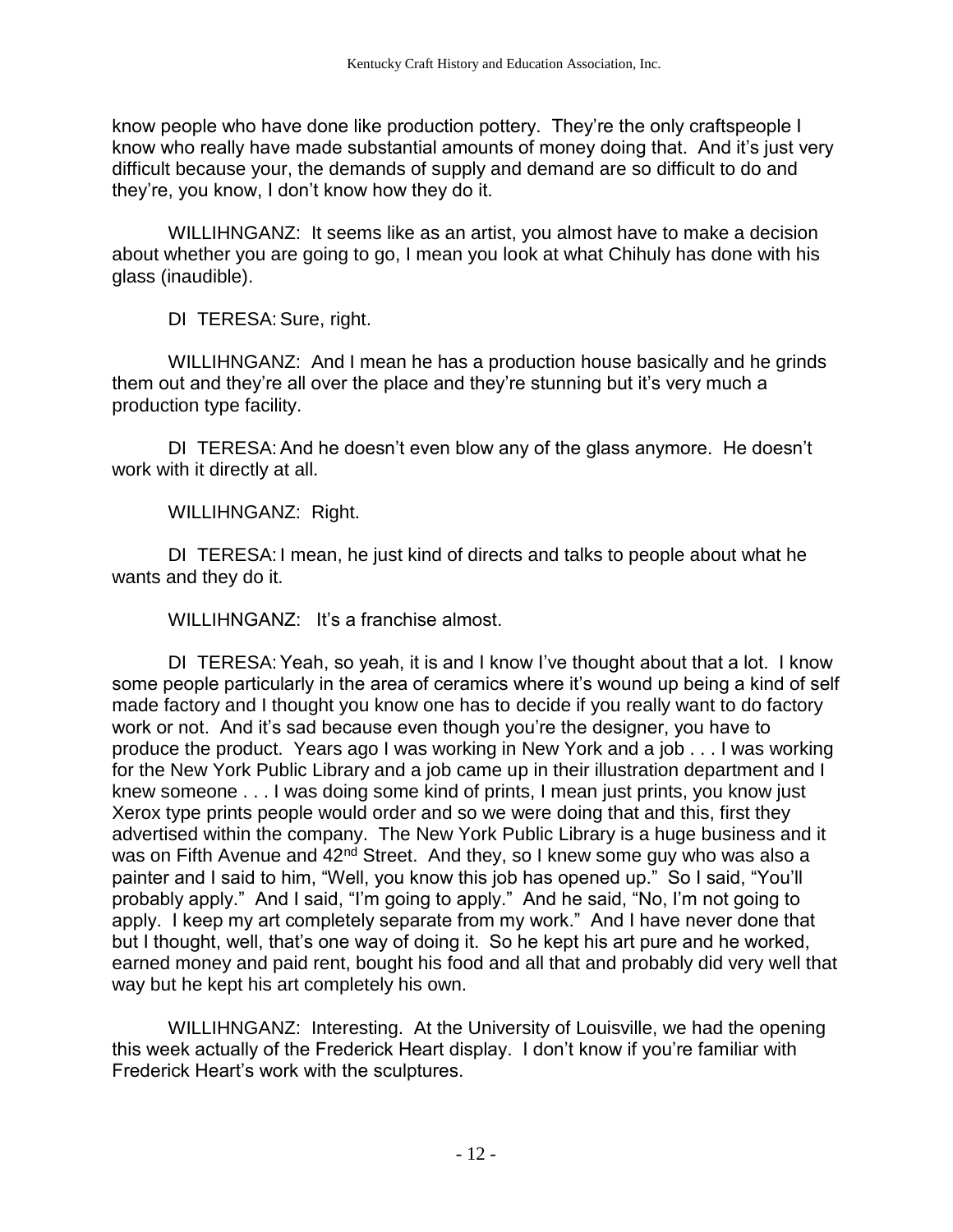know people who have done like production pottery. They're the only craftspeople I know who really have made substantial amounts of money doing that. And it's just very difficult because your, the demands of supply and demand are so difficult to do and they're, you know, I don't know how they do it.

WILLIHNGANZ: It seems like as an artist, you almost have to make a decision about whether you are going to go, I mean you look at what Chihuly has done with his glass (inaudible).

DI TERESA: Sure, right.

WILLIHNGANZ: And I mean he has a production house basically and he grinds them out and they're all over the place and they're stunning but it's very much a production type facility.

DI TERESA:And he doesn't even blow any of the glass anymore. He doesn't work with it directly at all.

WILLIHNGANZ: Right.

DI TERESA: I mean, he just kind of directs and talks to people about what he wants and they do it.

WILLIHNGANZ: It's a franchise almost.

DI TERESA:Yeah, so yeah, it is and I know I've thought about that a lot. I know some people particularly in the area of ceramics where it's wound up being a kind of self made factory and I thought you know one has to decide if you really want to do factory work or not. And it's sad because even though you're the designer, you have to produce the product. Years ago I was working in New York and a job . . . I was working for the New York Public Library and a job came up in their illustration department and I knew someone . . . I was doing some kind of prints, I mean just prints, you know just Xerox type prints people would order and so we were doing that and this, first they advertised within the company. The New York Public Library is a huge business and it was on Fifth Avenue and 42<sup>nd</sup> Street. And they, so I knew some guy who was also a painter and I said to him, "Well, you know this job has opened up." So I said, "You'll probably apply." And I said, "I'm going to apply." And he said, "No, I'm not going to apply. I keep my art completely separate from my work." And I have never done that but I thought, well, that's one way of doing it. So he kept his art pure and he worked, earned money and paid rent, bought his food and all that and probably did very well that way but he kept his art completely his own.

WILLIHNGANZ: Interesting. At the University of Louisville, we had the opening this week actually of the Frederick Heart display. I don't know if you're familiar with Frederick Heart's work with the sculptures.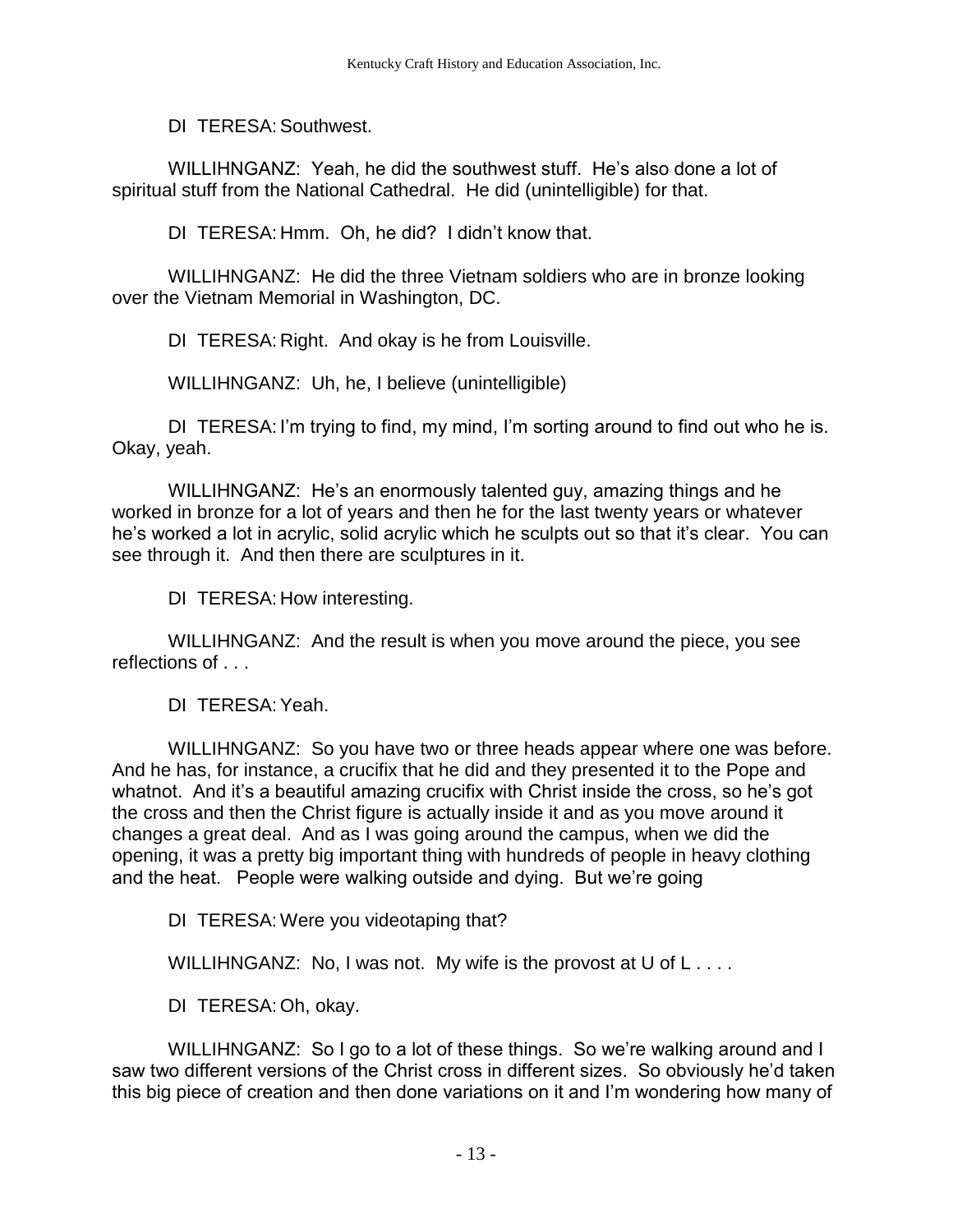DI TERESA:Southwest.

WILLIHNGANZ: Yeah, he did the southwest stuff. He's also done a lot of spiritual stuff from the National Cathedral. He did (unintelligible) for that.

DI TERESA: Hmm. Oh, he did? I didn't know that.

WILLIHNGANZ: He did the three Vietnam soldiers who are in bronze looking over the Vietnam Memorial in Washington, DC.

DI TERESA: Right. And okay is he from Louisville.

WILLIHNGANZ: Uh, he, I believe (unintelligible)

DI TERESA: I'm trying to find, my mind, I'm sorting around to find out who he is. Okay, yeah.

WILLIHNGANZ: He's an enormously talented guy, amazing things and he worked in bronze for a lot of years and then he for the last twenty years or whatever he's worked a lot in acrylic, solid acrylic which he sculpts out so that it's clear. You can see through it. And then there are sculptures in it.

DI TERESA: How interesting.

WILLIHNGANZ: And the result is when you move around the piece, you see reflections of . . .

DI TERESA:Yeah.

WILLIHNGANZ: So you have two or three heads appear where one was before. And he has, for instance, a crucifix that he did and they presented it to the Pope and whatnot. And it's a beautiful amazing crucifix with Christ inside the cross, so he's got the cross and then the Christ figure is actually inside it and as you move around it changes a great deal. And as I was going around the campus, when we did the opening, it was a pretty big important thing with hundreds of people in heavy clothing and the heat. People were walking outside and dying. But we're going

DI TERESA: Were you videotaping that?

WILLIHNGANZ: No, I was not. My wife is the provost at U of L....

DI TERESA: Oh, okay.

WILLIHNGANZ: So I go to a lot of these things. So we're walking around and I saw two different versions of the Christ cross in different sizes. So obviously he'd taken this big piece of creation and then done variations on it and I'm wondering how many of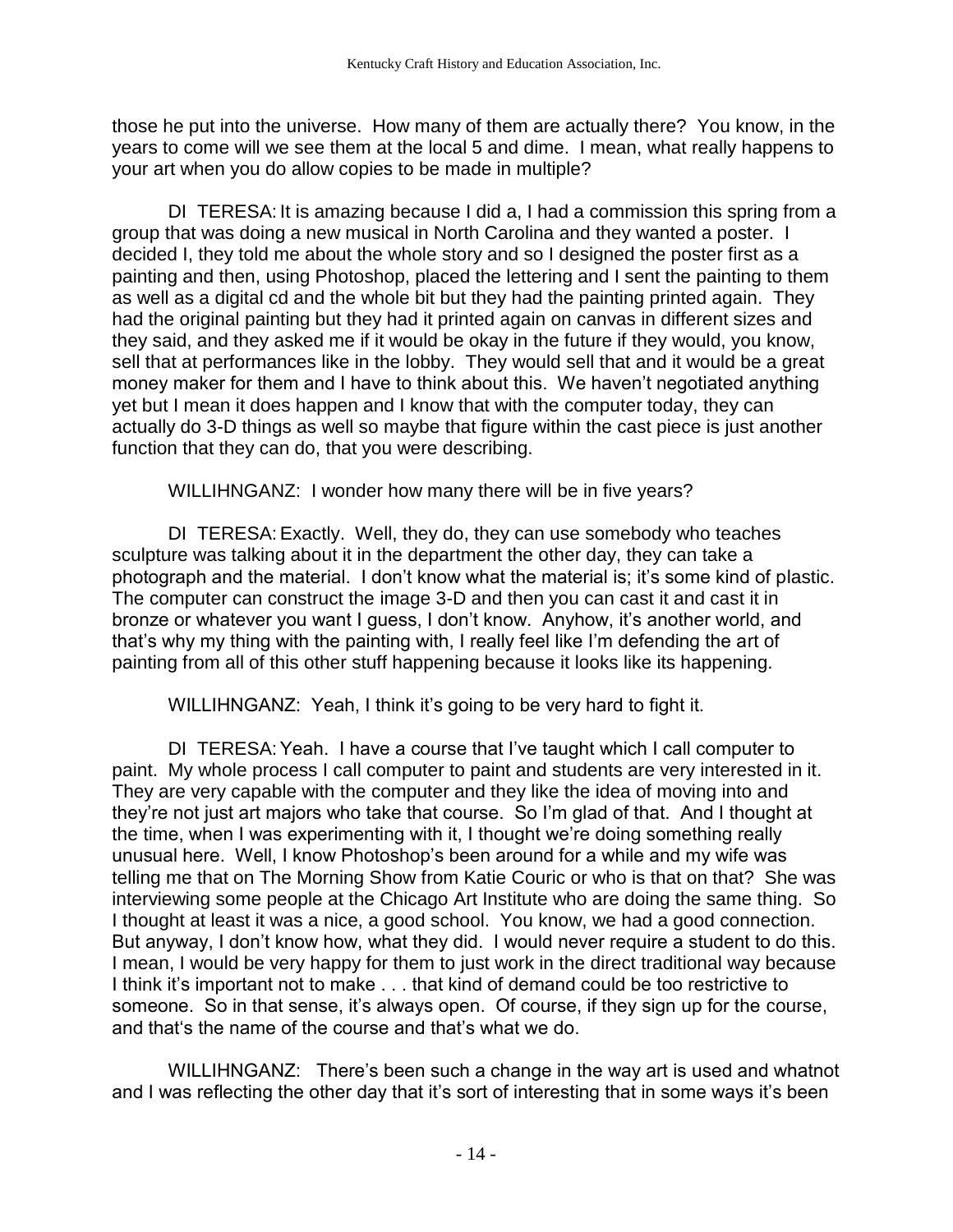those he put into the universe. How many of them are actually there? You know, in the years to come will we see them at the local 5 and dime. I mean, what really happens to your art when you do allow copies to be made in multiple?

DI TERESA: It is amazing because I did a, I had a commission this spring from a group that was doing a new musical in North Carolina and they wanted a poster. I decided I, they told me about the whole story and so I designed the poster first as a painting and then, using Photoshop, placed the lettering and I sent the painting to them as well as a digital cd and the whole bit but they had the painting printed again. They had the original painting but they had it printed again on canvas in different sizes and they said, and they asked me if it would be okay in the future if they would, you know, sell that at performances like in the lobby. They would sell that and it would be a great money maker for them and I have to think about this. We haven't negotiated anything yet but I mean it does happen and I know that with the computer today, they can actually do 3-D things as well so maybe that figure within the cast piece is just another function that they can do, that you were describing.

WILLIHNGANZ: I wonder how many there will be in five years?

DI TERESA:Exactly. Well, they do, they can use somebody who teaches sculpture was talking about it in the department the other day, they can take a photograph and the material. I don't know what the material is; it's some kind of plastic. The computer can construct the image 3-D and then you can cast it and cast it in bronze or whatever you want I guess, I don't know. Anyhow, it's another world, and that's why my thing with the painting with, I really feel like I'm defending the art of painting from all of this other stuff happening because it looks like its happening.

WILLIHNGANZ: Yeah, I think it's going to be very hard to fight it.

DI TERESA:Yeah. I have a course that I've taught which I call computer to paint. My whole process I call computer to paint and students are very interested in it. They are very capable with the computer and they like the idea of moving into and they're not just art majors who take that course. So I'm glad of that. And I thought at the time, when I was experimenting with it, I thought we're doing something really unusual here. Well, I know Photoshop's been around for a while and my wife was telling me that on The Morning Show from Katie Couric or who is that on that? She was interviewing some people at the Chicago Art Institute who are doing the same thing. So I thought at least it was a nice, a good school. You know, we had a good connection. But anyway, I don't know how, what they did. I would never require a student to do this. I mean, I would be very happy for them to just work in the direct traditional way because I think it's important not to make . . . that kind of demand could be too restrictive to someone. So in that sense, it's always open. Of course, if they sign up for the course, and that's the name of the course and that's what we do.

WILLIHNGANZ: There's been such a change in the way art is used and whatnot and I was reflecting the other day that it's sort of interesting that in some ways it's been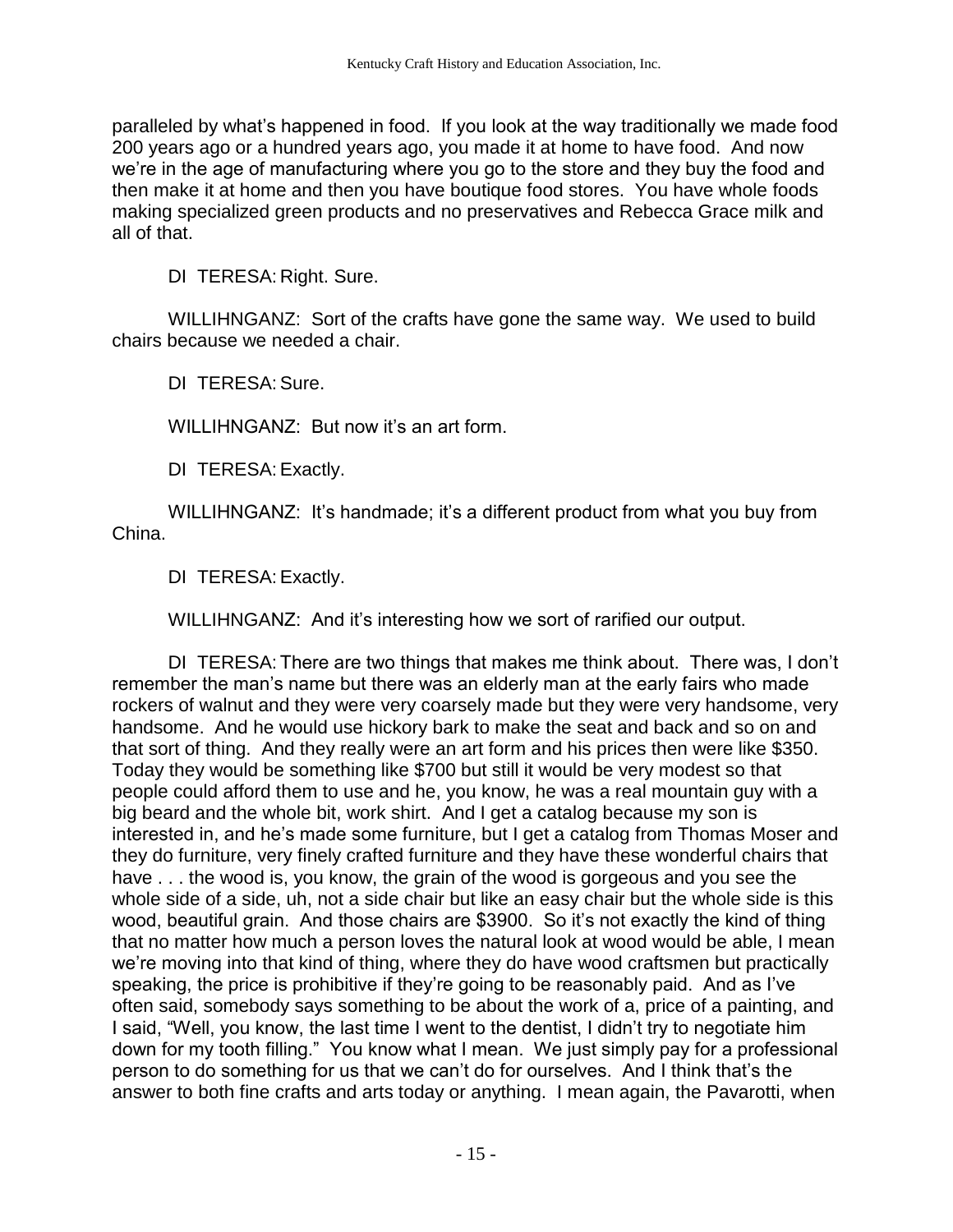paralleled by what's happened in food. If you look at the way traditionally we made food 200 years ago or a hundred years ago, you made it at home to have food. And now we're in the age of manufacturing where you go to the store and they buy the food and then make it at home and then you have boutique food stores. You have whole foods making specialized green products and no preservatives and Rebecca Grace milk and all of that.

DI TERESA: Right. Sure.

WILLIHNGANZ: Sort of the crafts have gone the same way. We used to build chairs because we needed a chair.

DI TERESA:Sure.

WILLIHNGANZ: But now it's an art form.

DI TERESA:Exactly.

WILLIHNGANZ: It's handmade; it's a different product from what you buy from China.

DI TERESA:Exactly.

WILLIHNGANZ: And it's interesting how we sort of rarified our output.

DI TERESA: There are two things that makes me think about. There was, I don't remember the man's name but there was an elderly man at the early fairs who made rockers of walnut and they were very coarsely made but they were very handsome, very handsome. And he would use hickory bark to make the seat and back and so on and that sort of thing. And they really were an art form and his prices then were like \$350. Today they would be something like \$700 but still it would be very modest so that people could afford them to use and he, you know, he was a real mountain guy with a big beard and the whole bit, work shirt. And I get a catalog because my son is interested in, and he's made some furniture, but I get a catalog from Thomas Moser and they do furniture, very finely crafted furniture and they have these wonderful chairs that have . . . the wood is, you know, the grain of the wood is gorgeous and you see the whole side of a side, uh, not a side chair but like an easy chair but the whole side is this wood, beautiful grain. And those chairs are \$3900. So it's not exactly the kind of thing that no matter how much a person loves the natural look at wood would be able, I mean we're moving into that kind of thing, where they do have wood craftsmen but practically speaking, the price is prohibitive if they're going to be reasonably paid. And as I've often said, somebody says something to be about the work of a, price of a painting, and I said, "Well, you know, the last time I went to the dentist, I didn't try to negotiate him down for my tooth filling." You know what I mean. We just simply pay for a professional person to do something for us that we can't do for ourselves. And I think that's the answer to both fine crafts and arts today or anything. I mean again, the Pavarotti, when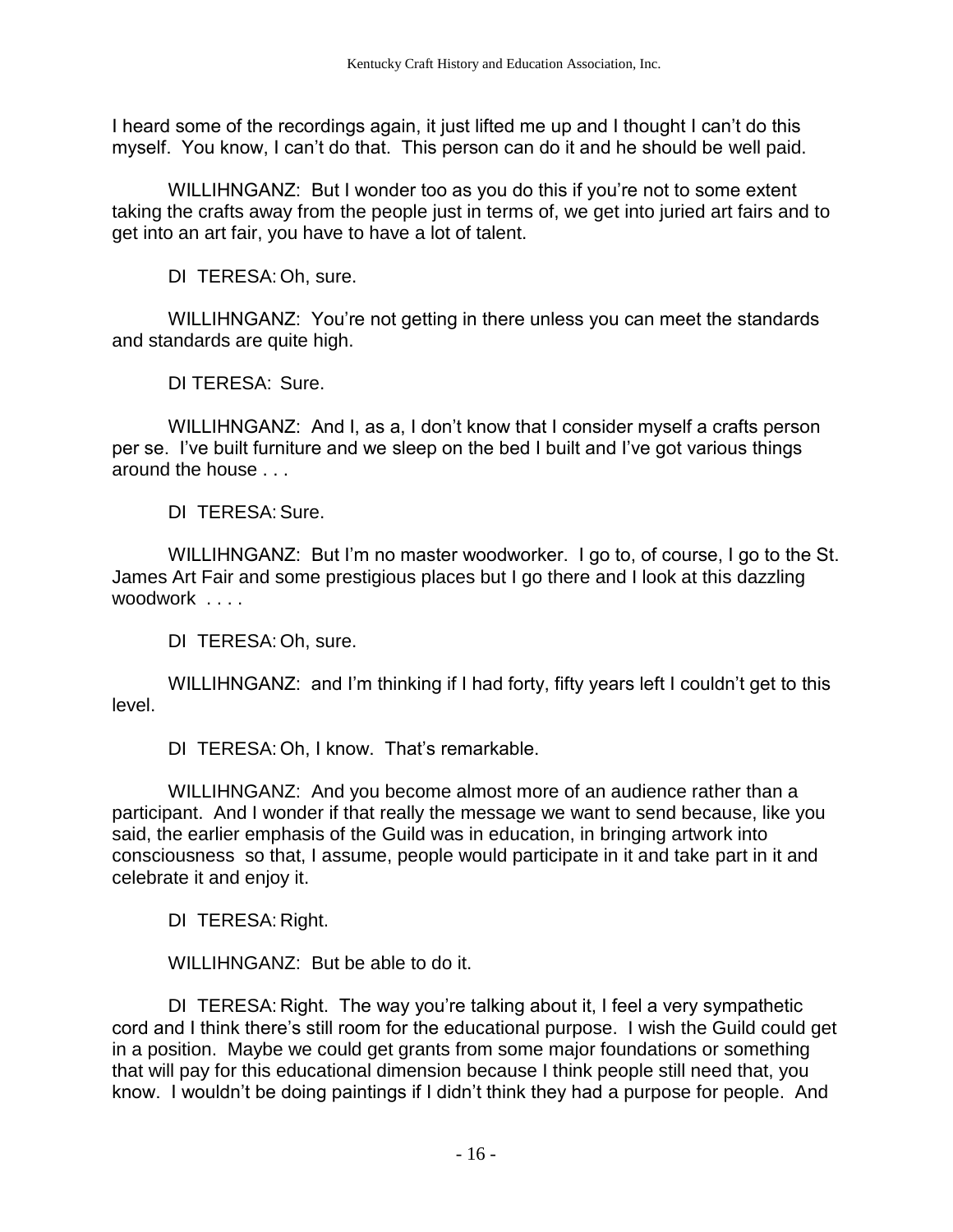I heard some of the recordings again, it just lifted me up and I thought I can't do this myself. You know, I can't do that. This person can do it and he should be well paid.

WILLIHNGANZ: But I wonder too as you do this if you're not to some extent taking the crafts away from the people just in terms of, we get into juried art fairs and to get into an art fair, you have to have a lot of talent.

DI TERESA: Oh, sure.

WILLIHNGANZ: You're not getting in there unless you can meet the standards and standards are quite high.

DI TERESA: Sure.

WILLIHNGANZ: And I, as a, I don't know that I consider myself a crafts person per se. I've built furniture and we sleep on the bed I built and I've got various things around the house . . .

DI TERESA: Sure.

WILLIHNGANZ: But I'm no master woodworker. I go to, of course, I go to the St. James Art Fair and some prestigious places but I go there and I look at this dazzling woodwork . . . .

DI TERESA: Oh, sure.

WILLIHNGANZ: and I'm thinking if I had forty, fifty years left I couldn't get to this level.

DI TERESA: Oh, I know. That's remarkable.

WILLIHNGANZ: And you become almost more of an audience rather than a participant. And I wonder if that really the message we want to send because, like you said, the earlier emphasis of the Guild was in education, in bringing artwork into consciousness so that, I assume, people would participate in it and take part in it and celebrate it and enjoy it.

DI TERESA: Right.

WILLIHNGANZ: But be able to do it.

DI TERESA: Right. The way you're talking about it, I feel a very sympathetic cord and I think there's still room for the educational purpose. I wish the Guild could get in a position. Maybe we could get grants from some major foundations or something that will pay for this educational dimension because I think people still need that, you know. I wouldn't be doing paintings if I didn't think they had a purpose for people. And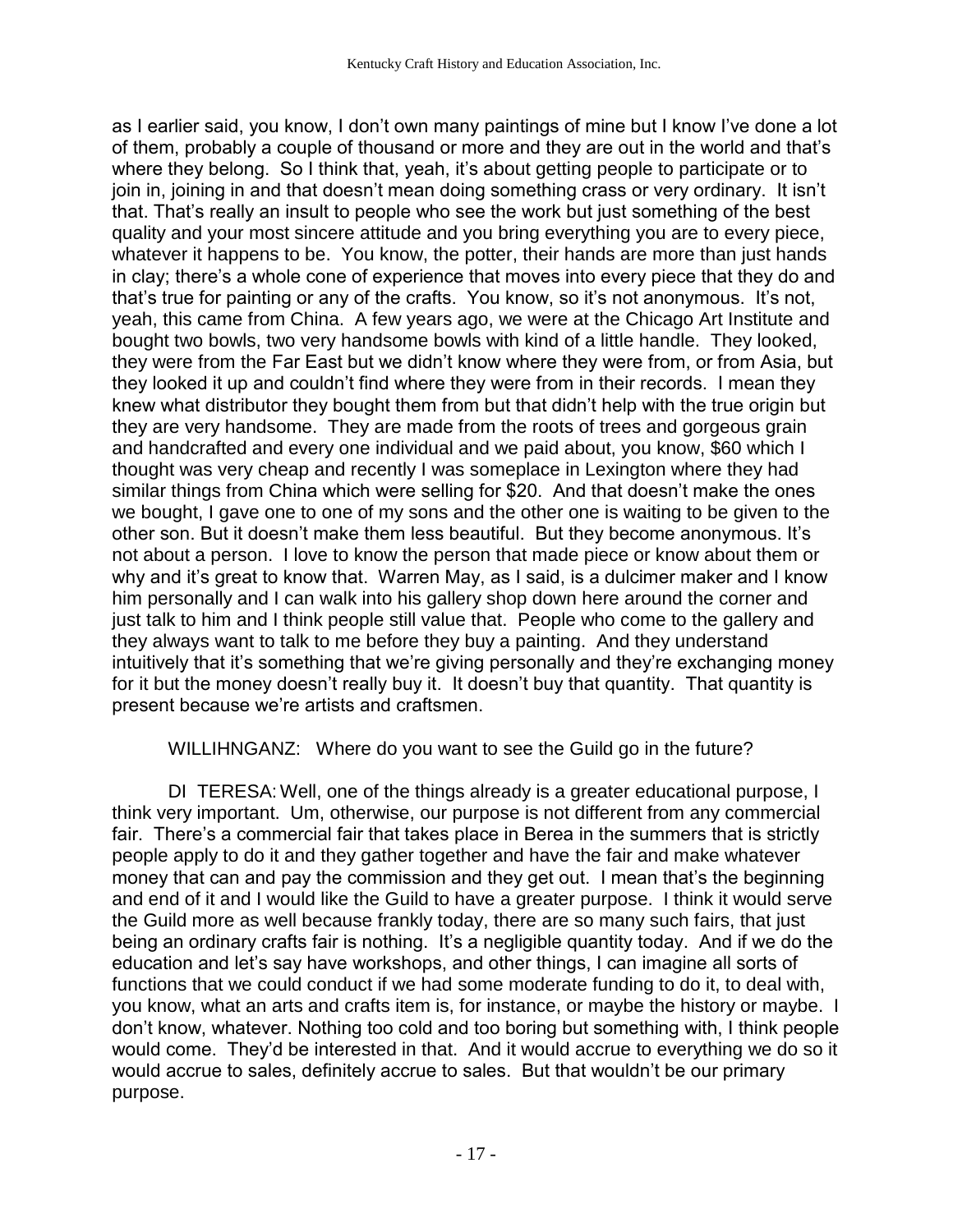as I earlier said, you know, I don't own many paintings of mine but I know I've done a lot of them, probably a couple of thousand or more and they are out in the world and that's where they belong. So I think that, yeah, it's about getting people to participate or to join in, joining in and that doesn't mean doing something crass or very ordinary. It isn't that. That's really an insult to people who see the work but just something of the best quality and your most sincere attitude and you bring everything you are to every piece, whatever it happens to be. You know, the potter, their hands are more than just hands in clay; there's a whole cone of experience that moves into every piece that they do and that's true for painting or any of the crafts. You know, so it's not anonymous. It's not, yeah, this came from China. A few years ago, we were at the Chicago Art Institute and bought two bowls, two very handsome bowls with kind of a little handle. They looked, they were from the Far East but we didn't know where they were from, or from Asia, but they looked it up and couldn't find where they were from in their records. I mean they knew what distributor they bought them from but that didn't help with the true origin but they are very handsome. They are made from the roots of trees and gorgeous grain and handcrafted and every one individual and we paid about, you know, \$60 which I thought was very cheap and recently I was someplace in Lexington where they had similar things from China which were selling for \$20. And that doesn't make the ones we bought, I gave one to one of my sons and the other one is waiting to be given to the other son. But it doesn't make them less beautiful. But they become anonymous. It's not about a person. I love to know the person that made piece or know about them or why and it's great to know that. Warren May, as I said, is a dulcimer maker and I know him personally and I can walk into his gallery shop down here around the corner and just talk to him and I think people still value that. People who come to the gallery and they always want to talk to me before they buy a painting. And they understand intuitively that it's something that we're giving personally and they're exchanging money for it but the money doesn't really buy it. It doesn't buy that quantity. That quantity is present because we're artists and craftsmen.

WILLIHNGANZ: Where do you want to see the Guild go in the future?

DI TERESA: Well, one of the things already is a greater educational purpose, I think very important. Um, otherwise, our purpose is not different from any commercial fair. There's a commercial fair that takes place in Berea in the summers that is strictly people apply to do it and they gather together and have the fair and make whatever money that can and pay the commission and they get out. I mean that's the beginning and end of it and I would like the Guild to have a greater purpose. I think it would serve the Guild more as well because frankly today, there are so many such fairs, that just being an ordinary crafts fair is nothing. It's a negligible quantity today. And if we do the education and let's say have workshops, and other things, I can imagine all sorts of functions that we could conduct if we had some moderate funding to do it, to deal with, you know, what an arts and crafts item is, for instance, or maybe the history or maybe. I don't know, whatever. Nothing too cold and too boring but something with, I think people would come. They'd be interested in that. And it would accrue to everything we do so it would accrue to sales, definitely accrue to sales. But that wouldn't be our primary purpose.